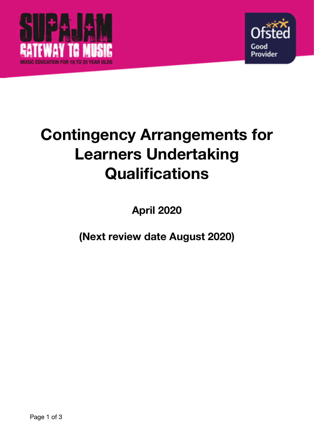



# **Contingency Arrangements for Learners Undertaking Qualifications**

**April 2020** 

**(Next review date August 2020)**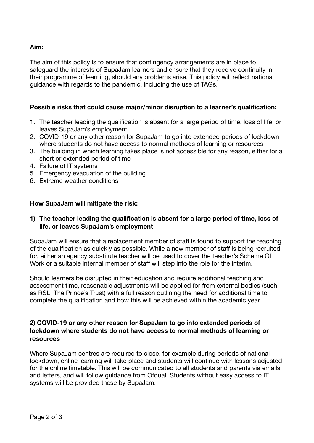# **Aim:**

The aim of this policy is to ensure that contingency arrangements are in place to safeguard the interests of SupaJam learners and ensure that they receive continuity in their programme of learning, should any problems arise. This policy will reflect national guidance with regards to the pandemic, including the use of TAGs.

## **Possible risks that could cause major/minor disruption to a learner's qualification:**

- 1. The teacher leading the qualification is absent for a large period of time, loss of life, or leaves SupaJam's employment
- 2. COVID-19 or any other reason for SupaJam to go into extended periods of lockdown where students do not have access to normal methods of learning or resources
- 3. The building in which learning takes place is not accessible for any reason, either for a short or extended period of time
- 4. Failure of IT systems
- 5. Emergency evacuation of the building
- 6. Extreme weather conditions

## **How SupaJam will mitigate the risk:**

#### **1) The teacher leading the qualification is absent for a large period of time, loss of life, or leaves SupaJam's employment**

SupaJam will ensure that a replacement member of staff is found to support the teaching of the qualification as quickly as possible. While a new member of staff is being recruited for, either an agency substitute teacher will be used to cover the teacher's Scheme Of Work or a suitable internal member of staff will step into the role for the interim.

Should learners be disrupted in their education and require additional teaching and assessment time, reasonable adjustments will be applied for from external bodies (such as RSL, The Prince's Trust) with a full reason outlining the need for additional time to complete the qualification and how this will be achieved within the academic year.

#### **2) COVID-19 or any other reason for SupaJam to go into extended periods of lockdown where students do not have access to normal methods of learning or resources**

Where SupaJam centres are required to close, for example during periods of national lockdown, online learning will take place and students will continue with lessons adjusted for the online timetable. This will be communicated to all students and parents via emails and letters, and will follow guidance from Ofqual. Students without easy access to IT systems will be provided these by SupaJam.